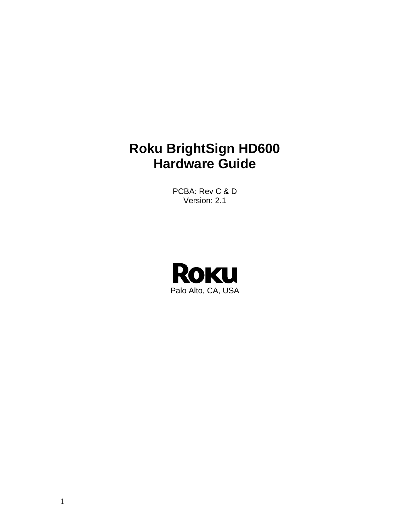# **Roku BrightSign HD600 Hardware Guide**

PCBA: Rev C & D Version: 2.1

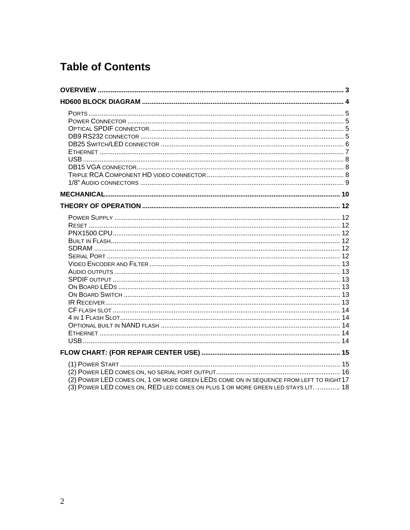# **Table of Contents**

| (2) POWER LED COMES ON, 1 OR MORE GREEN LEDS COME ON IN SEQUENCE FROM LEFT TO RIGHT17<br>(3) POWER LED COMES ON, RED LED COMES ON PLUS 1 OR MORE GREEN LED STAYS LIT.  18 |  |
|---------------------------------------------------------------------------------------------------------------------------------------------------------------------------|--|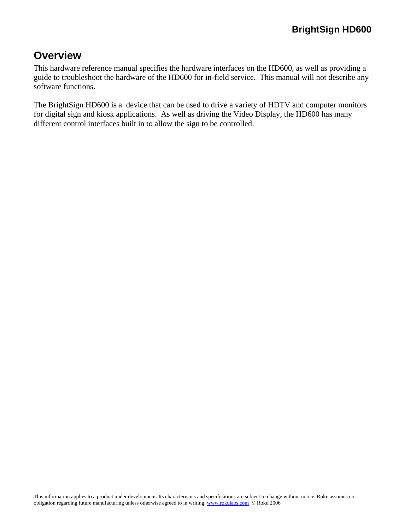# <span id="page-2-0"></span>**Overview**

This hardware reference manual specifies the hardware interfaces on the HD600, as well as providing a guide to troubleshoot the hardware of the HD600 for in-field service. This manual will not describe any software functions.

The BrightSign HD600 is a device that can be used to drive a variety of HDTV and computer monitors for digital sign and kiosk applications. As well as driving the Video Display, the HD600 has many different control interfaces built in to allow the sign to be controlled.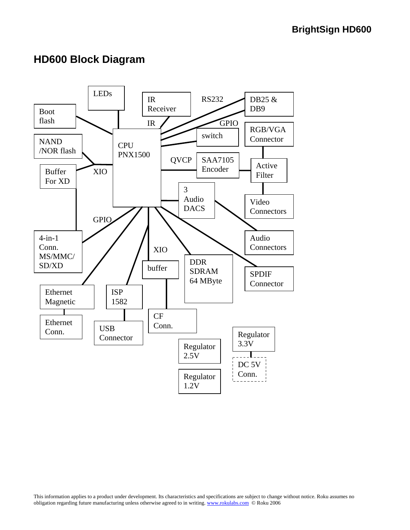# <span id="page-3-0"></span>**HD600 Block Diagram**

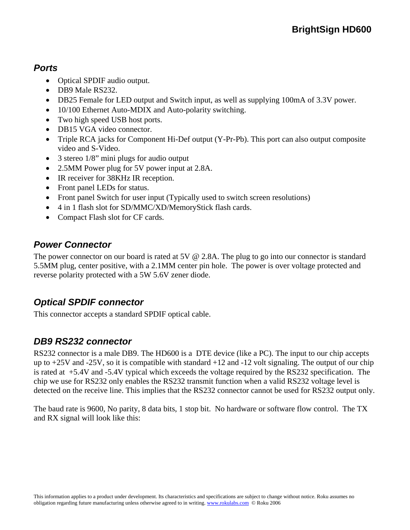# <span id="page-4-0"></span>*Ports*

- Optical SPDIF audio output.
- DB9 Male RS232.
- DB25 Female for LED output and Switch input, as well as supplying 100mA of 3.3V power.
- 10/100 Ethernet Auto-MDIX and Auto-polarity switching.
- Two high speed USB host ports.
- DB15 VGA video connector.
- Triple RCA jacks for Component Hi-Def output (Y-Pr-Pb). This port can also output composite video and S-Video.
- 3 stereo 1/8" mini plugs for audio output
- 2.5MM Power plug for 5V power input at 2.8A.
- IR receiver for 38KHz IR reception.
- Front panel LEDs for status.
- Front panel Switch for user input (Typically used to switch screen resolutions)
- 4 in 1 flash slot for SD/MMC/XD/MemoryStick flash cards.
- Compact Flash slot for CF cards.

# *Power Connector*

The power connector on our board is rated at 5V @ 2.8A. The plug to go into our connector is standard 5.5MM plug, center positive, with a 2.1MM center pin hole. The power is over voltage protected and reverse polarity protected with a 5W 5.6V zener diode.

# *Optical SPDIF connector*

This connector accepts a standard SPDIF optical cable.

# *DB9 RS232 connector*

RS232 connector is a male DB9. The HD600 is a DTE device (like a PC). The input to our chip accepts up to  $+25V$  and  $-25V$ , so it is compatible with standard  $+12$  and  $-12$  volt signaling. The output of our chip is rated at +5.4V and -5.4V typical which exceeds the voltage required by the RS232 specification. The chip we use for RS232 only enables the RS232 transmit function when a valid RS232 voltage level is detected on the receive line. This implies that the RS232 connector cannot be used for RS232 output only.

The baud rate is 9600, No parity, 8 data bits, 1 stop bit. No hardware or software flow control. The TX and RX signal will look like this: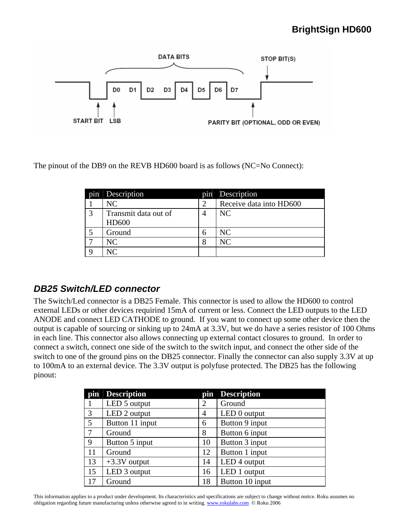<span id="page-5-0"></span>

The pinout of the DB9 on the REVB HD600 board is as follows (NC=No Connect):

| p <sub>1</sub> n | Description          | pin | Description             |
|------------------|----------------------|-----|-------------------------|
|                  | NC                   |     | Receive data into HD600 |
| 3                | Transmit data out of |     | NC                      |
|                  | <b>HD600</b>         |     |                         |
|                  | Ground               | h   | NC                      |
|                  | NС                   | 8   | NC                      |
|                  | N $\cap$             |     |                         |

#### *DB25 Switch/LED connector*

The Switch/Led connector is a DB25 Female. This connector is used to allow the HD600 to control external LEDs or other devices requirind 15mA of current or less. Connect the LED outputs to the LED ANODE and connect LED CATHODE to ground. If you want to connect up some other device then the output is capable of sourcing or sinking up to 24mA at 3.3V, but we do have a series resistor of 100 Ohms in each line. This connector also allows connecting up external contact closures to ground. In order to connect a switch, connect one side of the switch to the switch input, and connect the other side of the switch to one of the ground pins on the DB25 connector. Finally the connector can also supply 3.3V at up to 100mA to an external device. The 3.3V output is polyfuse protected. The DB25 has the following pinout:

| pin | <b>Description</b> | pin            | <b>Description</b> |
|-----|--------------------|----------------|--------------------|
|     | LED 5 output       | $\overline{2}$ | Ground             |
| 3   | LED 2 output       | 4              | LED 0 output       |
| 5   | Button 11 input    | 6              | Button 9 input     |
| 7   | Ground             | 8              | Button 6 input     |
| 9   | Button 5 input     | 10             | Button 3 input     |
| 11  | Ground             | 12             | Button 1 input     |
| 13  | $+3.3V$ output     | 14             | LED 4 output       |
| 15  | LED 3 output       | 16             | LED 1 output       |
| 17  | Ground             | 18             | Button 10 input    |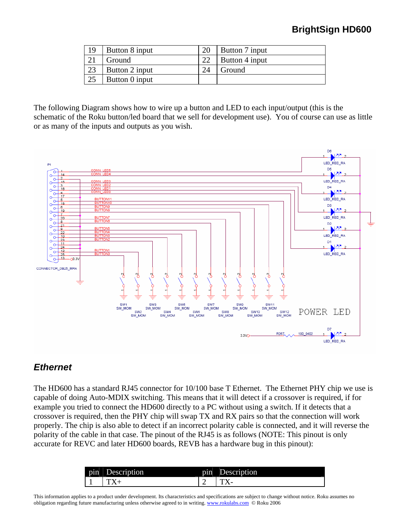<span id="page-6-0"></span>

| 19 | Button 8 input |    | Button 7 input |
|----|----------------|----|----------------|
|    | Ground         | 22 | Button 4 input |
| 23 | Button 2 input | 24 | Ground         |
| 25 | Button 0 input |    |                |

The following Diagram shows how to wire up a button and LED to each input/output (this is the schematic of the Roku button/led board that we sell for development use). You of course can use as little or as many of the inputs and outputs as you wish.



#### *Ethernet*

The HD600 has a standard RJ45 connector for 10/100 base T Ethernet. The Ethernet PHY chip we use is capable of doing Auto-MDIX switching. This means that it will detect if a crossover is required, if for example you tried to connect the HD600 directly to a PC without using a switch. If it detects that a crossover is required, then the PHY chip will swap TX and RX pairs so that the connection will work properly. The chip is also able to detect if an incorrect polarity cable is connected, and it will reverse the polarity of the cable in that case. The pinout of the RJ45 is as follows (NOTE: This pinout is only accurate for REVC and later HD600 boards, REVB has a hardware bug in this pinout):

|                  | aon | ٠   | 000000 |
|------------------|-----|-----|--------|
| p <sub>1</sub> n |     | pın | ption  |
|                  |     |     | -      |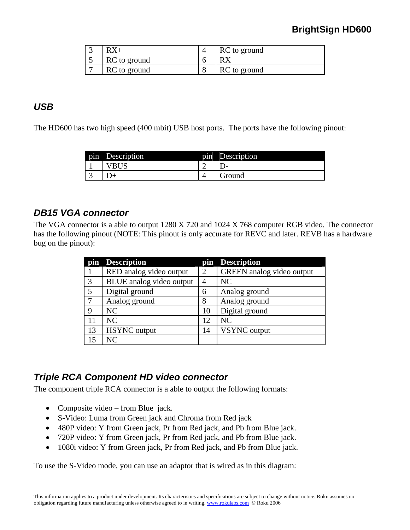<span id="page-7-0"></span>

|              | RC to ground |
|--------------|--------------|
| RC to ground |              |
| RC to ground | RC to ground |

#### *USB*

The HD600 has two high speed (400 mbit) USB host ports. The ports have the following pinout:

| pin | Description | p <sub>1</sub> n | Description |
|-----|-------------|------------------|-------------|
|     | ы           | ∸                | . .         |
| ◡   |             |                  | iround      |

#### *DB15 VGA connector*

The VGA connector is a able to output 1280 X 720 and 1024 X 768 computer RGB video. The connector has the following pinout (NOTE: This pinout is only accurate for REVC and later. REVB has a hardware bug on the pinout):

| pin | <b>Description</b>       |    | pin   Description         |
|-----|--------------------------|----|---------------------------|
|     | RED analog video output  | 2  | GREEN analog video output |
| 3   | BLUE analog video output | 4  | NC                        |
| 5   | Digital ground           | 6  | Analog ground             |
| 7   | Analog ground            | 8  | Analog ground             |
| 9   | NC                       | 10 | Digital ground            |
| 11  | NC                       | 12 | <b>NC</b>                 |
| 13  | <b>HSYNC</b> output      | 14 | VSYNC output              |
| 15  | NC                       |    |                           |

#### *Triple RCA Component HD video connector*

The component triple RCA connector is a able to output the following formats:

- Composite video from Blue jack.
- S-Video: Luma from Green jack and Chroma from Red jack
- 480P video: Y from Green jack, Pr from Red jack, and Pb from Blue jack.
- 720P video: Y from Green jack, Pr from Red jack, and Pb from Blue jack.
- 1080i video: Y from Green jack, Pr from Red jack, and Pb from Blue jack.

To use the S-Video mode, you can use an adaptor that is wired as in this diagram: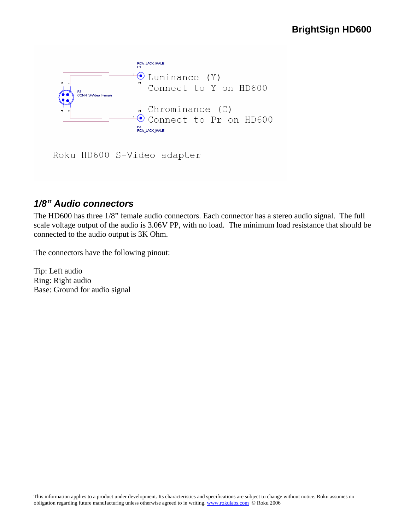<span id="page-8-0"></span>

Roku HD600 S-Video adapter

# *1/8" Audio connectors*

The HD600 has three 1/8" female audio connectors. Each connector has a stereo audio signal. The full scale voltage output of the audio is 3.06V PP, with no load. The minimum load resistance that should be connected to the audio output is 3K Ohm.

The connectors have the following pinout:

Tip: Left audio Ring: Right audio Base: Ground for audio signal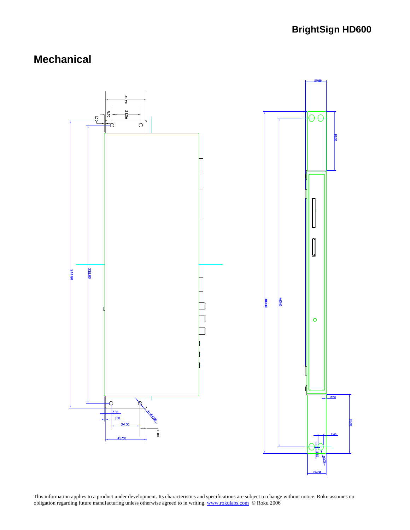# <span id="page-9-0"></span>**Mechanical**

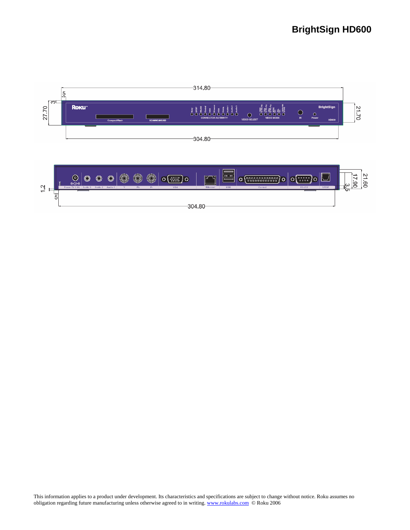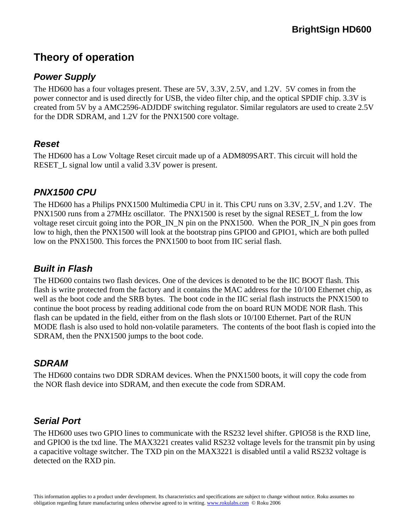# <span id="page-11-0"></span>**Theory of operation**

# *Power Supply*

The HD600 has a four voltages present. These are 5V, 3.3V, 2.5V, and 1.2V. 5V comes in from the power connector and is used directly for USB, the video filter chip, and the optical SPDIF chip. 3.3V is created from 5V by a AMC2596-ADJDDF switching regulator. Similar regulators are used to create 2.5V for the DDR SDRAM, and 1.2V for the PNX1500 core voltage.

#### *Reset*

The HD600 has a Low Voltage Reset circuit made up of a ADM809SART. This circuit will hold the RESET\_L signal low until a valid 3.3V power is present.

#### *PNX1500 CPU*

The HD600 has a Philips PNX1500 Multimedia CPU in it. This CPU runs on 3.3V, 2.5V, and 1.2V. The PNX1500 runs from a 27MHz oscillator. The PNX1500 is reset by the signal RESET L from the low voltage reset circuit going into the POR\_IN\_N pin on the PNX1500. When the POR\_IN\_N pin goes from low to high, then the PNX1500 will look at the bootstrap pins GPIO0 and GPIO1, which are both pulled low on the PNX1500. This forces the PNX1500 to boot from IIC serial flash.

### *Built in Flash*

The HD600 contains two flash devices. One of the devices is denoted to be the IIC BOOT flash. This flash is write protected from the factory and it contains the MAC address for the 10/100 Ethernet chip, as well as the boot code and the SRB bytes. The boot code in the IIC serial flash instructs the PNX1500 to continue the boot process by reading additional code from the on board RUN MODE NOR flash. This flash can be updated in the field, either from on the flash slots or 10/100 Ethernet. Part of the RUN MODE flash is also used to hold non-volatile parameters. The contents of the boot flash is copied into the SDRAM, then the PNX1500 jumps to the boot code.

# *SDRAM*

The HD600 contains two DDR SDRAM devices. When the PNX1500 boots, it will copy the code from the NOR flash device into SDRAM, and then execute the code from SDRAM.

# *Serial Port*

The HD600 uses two GPIO lines to communicate with the RS232 level shifter. GPIO58 is the RXD line, and GPIO0 is the txd line. The MAX3221 creates valid RS232 voltage levels for the transmit pin by using a capacitive voltage switcher. The TXD pin on the MAX3221 is disabled until a valid RS232 voltage is detected on the RXD pin.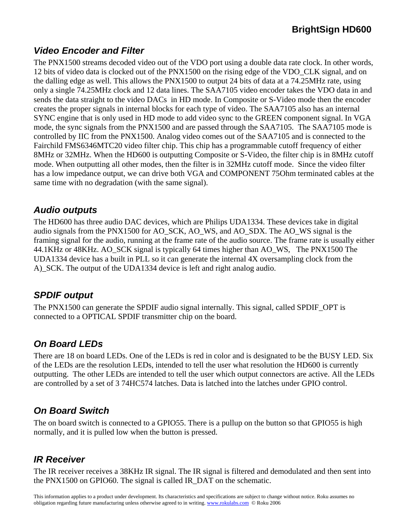# <span id="page-12-0"></span>*Video Encoder and Filter*

The PNX1500 streams decoded video out of the VDO port using a double data rate clock. In other words, 12 bits of video data is clocked out of the PNX1500 on the rising edge of the VDO\_CLK signal, and on the dalling edge as well. This allows the PNX1500 to output 24 bits of data at a 74.25MHz rate, using only a single 74.25MHz clock and 12 data lines. The SAA7105 video encoder takes the VDO data in and sends the data straight to the video DACs in HD mode. In Composite or S-Video mode then the encoder creates the proper signals in internal blocks for each type of video. The SAA7105 also has an internal SYNC engine that is only used in HD mode to add video sync to the GREEN component signal. In VGA mode, the sync signals from the PNX1500 and are passed through the SAA7105. The SAA7105 mode is controlled by IIC from the PNX1500. Analog video comes out of the SAA7105 and is connected to the Fairchild FMS6346MTC20 video filter chip. This chip has a programmable cutoff frequency of either 8MHz or 32MHz. When the HD600 is outputting Composite or S-Video, the filter chip is in 8MHz cutoff mode. When outputting all other modes, then the filter is in 32MHz cutoff mode. Since the video filter has a low impedance output, we can drive both VGA and COMPONENT 75Ohm terminated cables at the same time with no degradation (with the same signal).

#### *Audio outputs*

The HD600 has three audio DAC devices, which are Philips UDA1334. These devices take in digital audio signals from the PNX1500 for AO\_SCK, AO\_WS, and AO\_SDX. The AO\_WS signal is the framing signal for the audio, running at the frame rate of the audio source. The frame rate is usually either 44.1KHz or 48KHz. AO\_SCK signal is typically 64 times higher than AO\_WS, The PNX1500 The UDA1334 device has a built in PLL so it can generate the internal 4X oversampling clock from the A)\_SCK. The output of the UDA1334 device is left and right analog audio.

# *SPDIF output*

The PNX1500 can generate the SPDIF audio signal internally. This signal, called SPDIF\_OPT is connected to a OPTICAL SPDIF transmitter chip on the board.

# *On Board LEDs*

There are 18 on board LEDs. One of the LEDs is red in color and is designated to be the BUSY LED. Six of the LEDs are the resolution LEDs, intended to tell the user what resolution the HD600 is currently outputting. The other LEDs are intended to tell the user which output connectors are active. All the LEDs are controlled by a set of 3 74HC574 latches. Data is latched into the latches under GPIO control.

# *On Board Switch*

The on board switch is connected to a GPIO55. There is a pullup on the button so that GPIO55 is high normally, and it is pulled low when the button is pressed.

# *IR Receiver*

The IR receiver receives a 38KHz IR signal. The IR signal is filtered and demodulated and then sent into the PNX1500 on GPIO60. The signal is called IR\_DAT on the schematic.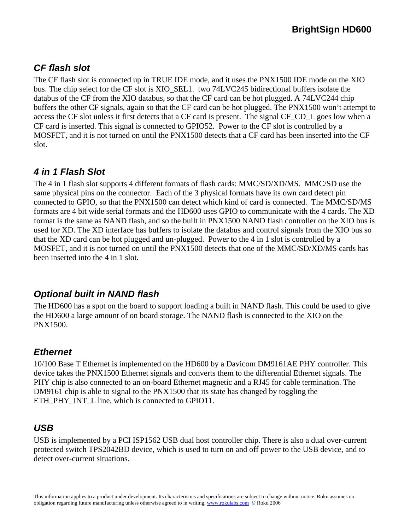# <span id="page-13-0"></span>*CF flash slot*

The CF flash slot is connected up in TRUE IDE mode, and it uses the PNX1500 IDE mode on the XIO bus. The chip select for the CF slot is XIO\_SEL1. two 74LVC245 bidirectional buffers isolate the databus of the CF from the XIO databus, so that the CF card can be hot plugged. A 74LVC244 chip buffers the other CF signals, again so that the CF card can be hot plugged. The PNX1500 won't attempt to access the CF slot unless it first detects that a CF card is present. The signal CF\_CD\_L goes low when a CF card is inserted. This signal is connected to GPIO52. Power to the CF slot is controlled by a MOSFET, and it is not turned on until the PNX1500 detects that a CF card has been inserted into the CF slot.

# *4 in 1 Flash Slot*

The 4 in 1 flash slot supports 4 different formats of flash cards: MMC/SD/XD/MS. MMC/SD use the same physical pins on the connector. Each of the 3 physical formats have its own card detect pin connected to GPIO, so that the PNX1500 can detect which kind of card is connected. The MMC/SD/MS formats are 4 bit wide serial formats and the HD600 uses GPIO to communicate with the 4 cards. The XD format is the same as NAND flash, and so the built in PNX1500 NAND flash controller on the XIO bus is used for XD. The XD interface has buffers to isolate the databus and control signals from the XIO bus so that the XD card can be hot plugged and un-plugged. Power to the 4 in 1 slot is controlled by a MOSFET, and it is not turned on until the PNX1500 detects that one of the MMC/SD/XD/MS cards has been inserted into the 4 in 1 slot.

# *Optional built in NAND flash*

The HD600 has a spot on the board to support loading a built in NAND flash. This could be used to give the HD600 a large amount of on board storage. The NAND flash is connected to the XIO on the PNX1500.

# *Ethernet*

10/100 Base T Ethernet is implemented on the HD600 by a Davicom DM9161AE PHY controller. This device takes the PNX1500 Ethernet signals and converts them to the differential Ethernet signals. The PHY chip is also connected to an on-board Ethernet magnetic and a RJ45 for cable termination. The DM9161 chip is able to signal to the PNX1500 that its state has changed by toggling the ETH\_PHY\_INT\_L line, which is connected to GPIO11.

# *USB*

USB is implemented by a PCI ISP1562 USB dual host controller chip. There is also a dual over-current protected switch TPS2042BD device, which is used to turn on and off power to the USB device, and to detect over-current situations.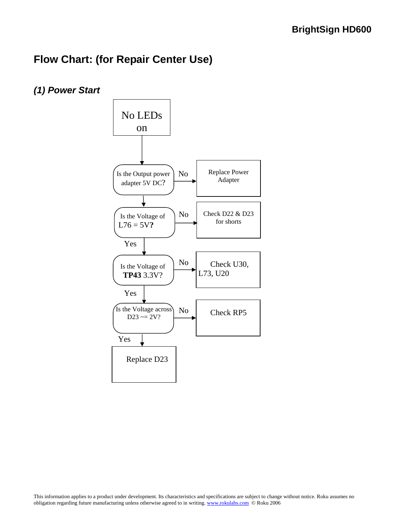# <span id="page-14-0"></span>**Flow Chart: (for Repair Center Use)**

*(1) Power Start* 

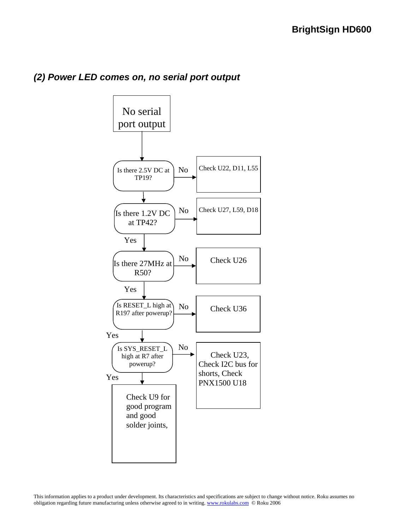

#### <span id="page-15-0"></span>*(2) Power LED comes on, no serial port output*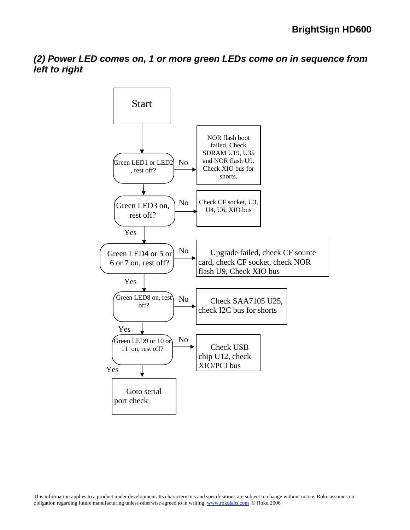<span id="page-16-0"></span>*(2) Power LED comes on, 1 or more green LEDs come on in sequence from left to right* 

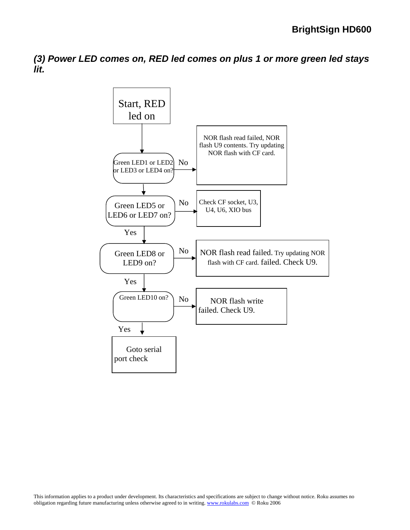<span id="page-17-0"></span>*(3) Power LED comes on, RED led comes on plus 1 or more green led stays lit.* 

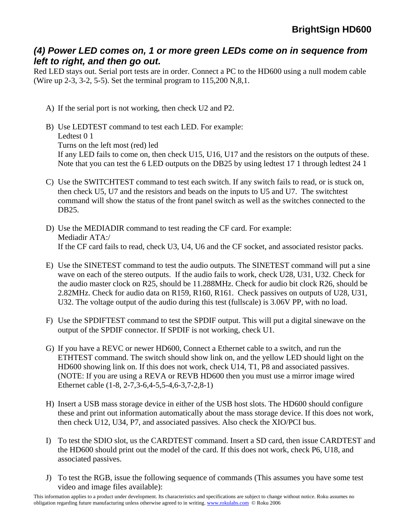#### *(4) Power LED comes on, 1 or more green LEDs come on in sequence from left to right, and then go out.*

Red LED stays out. Serial port tests are in order. Connect a PC to the HD600 using a null modem cable (Wire up 2-3, 3-2, 5-5). Set the terminal program to 115,200 N,8,1.

- A) If the serial port is not working, then check U2 and P2.
- B) Use LEDTEST command to test each LED. For example: Ledtest 0 1 Turns on the left most (red) led If any LED fails to come on, then check U15, U16, U17 and the resistors on the outputs of these. Note that you can test the 6 LED outputs on the DB25 by using ledtest 17 1 through ledtest 24 1
- C) Use the SWITCHTEST command to test each switch. If any switch fails to read, or is stuck on, then check U5, U7 and the resistors and beads on the inputs to U5 and U7. The switchtest command will show the status of the front panel switch as well as the switches connected to the DB25.
- D) Use the MEDIADIR command to test reading the CF card. For example: Mediadir ATA:/ If the CF card fails to read, check U3, U4, U6 and the CF socket, and associated resistor packs.
- E) Use the SINETEST command to test the audio outputs. The SINETEST command will put a sine wave on each of the stereo outputs. If the audio fails to work, check U28, U31, U32. Check for the audio master clock on R25, should be 11.288MHz. Check for audio bit clock R26, should be 2.82MHz. Check for audio data on R159, R160, R161. Check passives on outputs of U28, U31, U32. The voltage output of the audio during this test (fullscale) is 3.06V PP, with no load.
- F) Use the SPDIFTEST command to test the SPDIF output. This will put a digital sinewave on the output of the SPDIF connector. If SPDIF is not working, check U1.
- G) If you have a REVC or newer HD600, Connect a Ethernet cable to a switch, and run the ETHTEST command. The switch should show link on, and the yellow LED should light on the HD600 showing link on. If this does not work, check U14, T1, P8 and associated passives. (NOTE: If you are using a REVA or REVB HD600 then you must use a mirror image wired Ethernet cable (1-8, 2-7,3-6,4-5,5-4,6-3,7-2,8-1)
- H) Insert a USB mass storage device in either of the USB host slots. The HD600 should configure these and print out information automatically about the mass storage device. If this does not work, then check U12, U34, P7, and associated passives. Also check the XIO/PCI bus.
- I) To test the SDIO slot, us the CARDTEST command. Insert a SD card, then issue CARDTEST and the HD600 should print out the model of the card. If this does not work, check P6, U18, and associated passives.
- J) To test the RGB, issue the following sequence of commands (This assumes you have some test video and image files available):